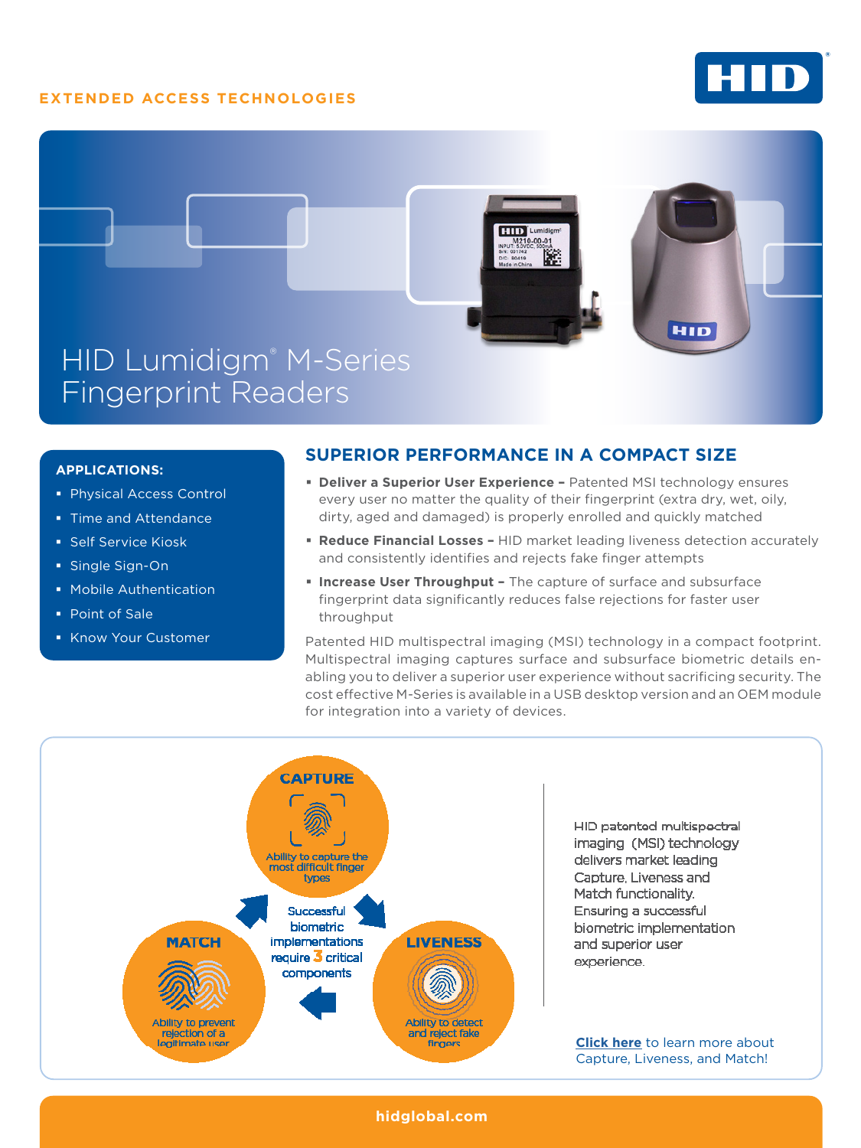# **EXTENDED ACCESS TECHNOLOGIES**





### **APPLICATIONS:**

- Physical Access Control
- **Time and Attendance**
- Self Service Kiosk
- Single Sign-On
- **Mobile Authentication**
- **Point of Sale**
- Know Your Customer

## **SUPERIOR PERFORMANCE IN A COMPACT SIZE**

- **Deliver a Superior User Experience Patented MSI technology ensures** every user no matter the quality of their fingerprint (extra dry, wet, oily, dirty, aged and damaged) is properly enrolled and quickly matched
- **Reduce Financial Losses** HID market leading liveness detection accurately and consistently identifies and rejects fake finger attempts
- **Increase User Throughput The capture of surface and subsurface** fingerprint data significantly reduces false rejections for faster user throughput

Patented HID multispectral imaging (MSI) technology in a compact footprint. Multispectral imaging captures surface and subsurface biometric details enabling you to deliver a superior user experience without sacrificing security. The cost effective M-Series is available in a USB desktop version and an OEM module for integration into a variety of devices.